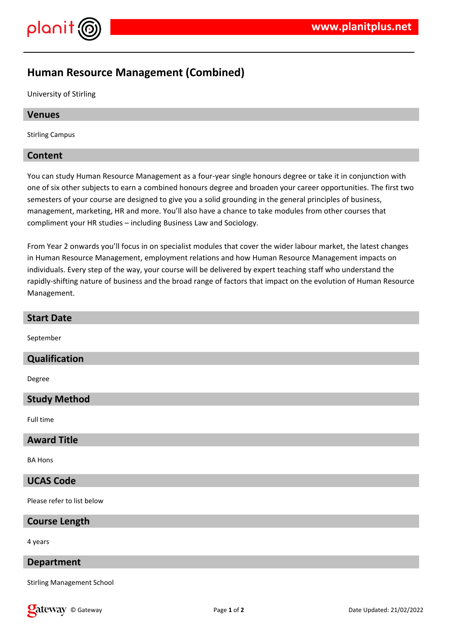

# **Human Resource Management (Combined)**

University of Stirling

#### **Venues**

Stirling Campus

#### **Content**

You can study Human Resource Management as a four-year single honours degree or take it in conjunction with one of six other subjects to earn a combined honours degree and broaden your career opportunities. The first two semesters of your course are designed to give you a solid grounding in the general principles of business, management, marketing, HR and more. You'll also have a chance to take modules from other courses that compliment your HR studies – including Business Law and Sociology.

From Year 2 onwards you'll focus in on specialist modules that cover the wider labour market, the latest changes in Human Resource Management, employment relations and how Human Resource Management impacts on individuals. Every step of the way, your course will be delivered by expert teaching staff who understand the rapidly-shifting nature of business and the broad range of factors that impact on the evolution of Human Resource Management.

| <b>Start Date</b>    |
|----------------------|
| September            |
| <b>Qualification</b> |
| Degree               |
| <b>Study Method</b>  |
| Full time            |
| .                    |

#### **Award Title**

BA Hons

# **UCAS Code**

Please refer to list below

#### **Course Length**

4 years

#### **Department**

Stirling Management School